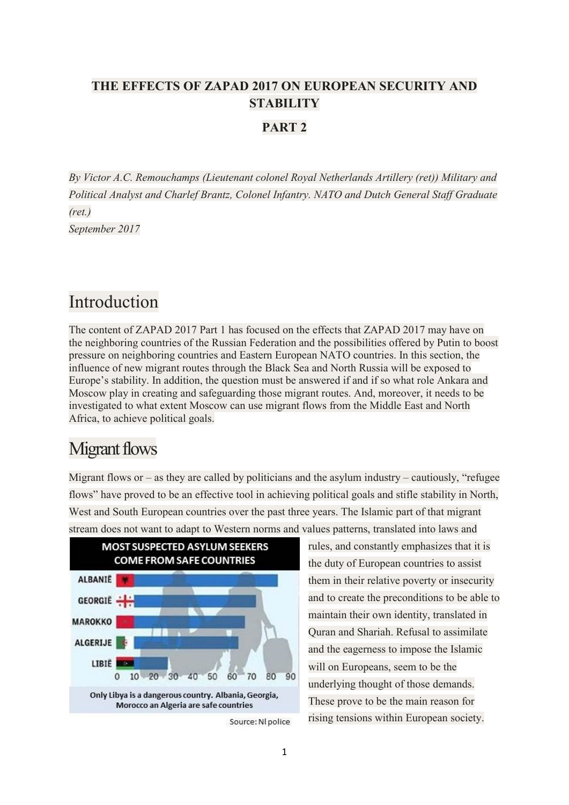#### **THE EFFECTS OF ZAPAD 2017 ON EUROPEAN SECURITY AND STABILITY**

#### **PART 2**

*By Victor A.C. Remouchamps (Lieutenant colonel Royal Netherlands Artillery (ret)) Military and Political Analyst and Charlef Brantz, Colonel Infantry. NATO and Dutch General Staff Graduate (ret.) September 2017*

#### Introduction

The content of ZAPAD 2017 Part 1 has focused on the effects that ZAPAD 2017 may have on the neighboring countries of the Russian Federation and the possibilities offered by Putin to boost pressure on neighboring countries and Eastern European NATO countries. In this section, the influence of new migrant routes through the Black Sea and North Russia will be exposed to Europe's stability. In addition, the question must be answered if and if so what role Ankara and Moscow play in creating and safeguarding those migrant routes. And, moreover, it needs to be investigated to what extent Moscow can use migrant flows from the Middle East and North Africa, to achieve political goals.

## Migrant flows

Migrant flows or – as they are called by politicians and the asylum industry – cautiously, "refugee flows" have proved to be an effective tool in achieving political goals and stifle stability in North, West and South European countries over the past three years. The Islamic part of that migrant stream does not want to adapt to Western norms and values patterns, translated into laws and



Source: Nl police

rules, and constantly emphasizes that it is the duty of European countries to assist them in their relative poverty or insecurity and to create the preconditions to be able to maintain their own identity, translated in Quran and Shariah. Refusal to assimilate and the eagerness to impose the Islamic will on Europeans, seem to be the underlying thought of those demands. These prove to be the main reason for rising tensions within European society.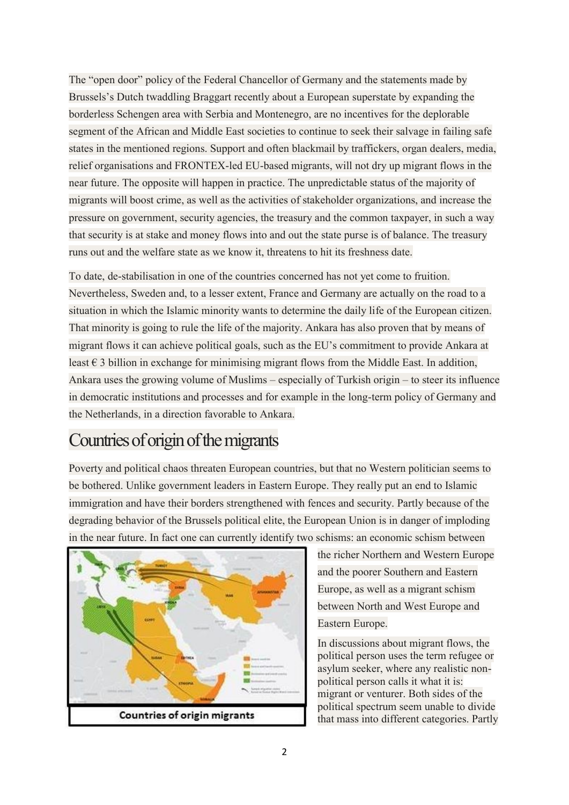The "open door" policy of the Federal Chancellor of Germany and the statements made by Brussels's Dutch twaddling Braggart recently about a European superstate by expanding the borderless Schengen area with Serbia and Montenegro, are no incentives for the deplorable segment of the African and Middle East societies to continue to seek their salvage in failing safe states in the mentioned regions. Support and often blackmail by traffickers, organ dealers, media, relief organisations and FRONTEX-led EU-based migrants, will not dry up migrant flows in the near future. The opposite will happen in practice. The unpredictable status of the majority of migrants will boost crime, as well as the activities of stakeholder organizations, and increase the pressure on government, security agencies, the treasury and the common taxpayer, in such a way that security is at stake and money flows into and out the state purse is of balance. The treasury runs out and the welfare state as we know it, threatens to hit its freshness date.

To date, de-stabilisation in one of the countries concerned has not yet come to fruition. Nevertheless, Sweden and, to a lesser extent, France and Germany are actually on the road to a situation in which the Islamic minority wants to determine the daily life of the European citizen. That minority is going to rule the life of the majority. Ankara has also proven that by means of migrant flows it can achieve political goals, such as the EU's commitment to provide Ankara at least  $\epsilon$  3 billion in exchange for minimising migrant flows from the Middle East. In addition, Ankara uses the growing volume of Muslims – especially of Turkish origin – to steer its influence in democratic institutions and processes and for example in the long-term policy of Germany and the Netherlands, in a direction favorable to Ankara.

## Countries of origin of the migrants

Poverty and political chaos threaten European countries, but that no Western politician seems to be bothered. Unlike government leaders in Eastern Europe. They really put an end to Islamic immigration and have their borders strengthened with fences and security. Partly because of the degrading behavior of the Brussels political elite, the European Union is in danger of imploding in the near future. In fact one can currently identify two schisms: an economic schism between



the richer Northern and Western Europe and the poorer Southern and Eastern Europe, as well as a migrant schism between North and West Europe and Eastern Europe.

In discussions about migrant flows, the political person uses the term refugee or asylum seeker, where any realistic nonpolitical person calls it what it is: migrant or venturer. Both sides of the political spectrum seem unable to divide that mass into different categories. Partly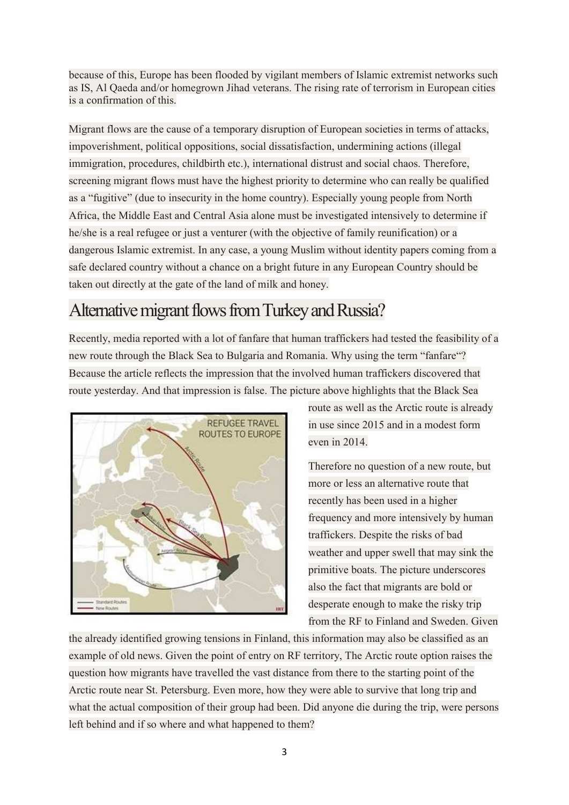because of this, Europe has been flooded by vigilant members of Islamic extremist networks such as IS, Al Qaeda and/or homegrown Jihad veterans. The rising rate of terrorism in European cities is a confirmation of this.

Migrant flows are the cause of a temporary disruption of European societies in terms of attacks, impoverishment, political oppositions, social dissatisfaction, undermining actions (illegal immigration, procedures, childbirth etc.), international distrust and social chaos. Therefore, screening migrant flows must have the highest priority to determine who can really be qualified as a "fugitive" (due to insecurity in the home country). Especially young people from North Africa, the Middle East and Central Asia alone must be investigated intensively to determine if he/she is a real refugee or just a venturer (with the objective of family reunification) or a dangerous Islamic extremist. In any case, a young Muslim without identity papers coming from a safe declared country without a chance on a bright future in any European Country should be taken out directly at the gate of the land of milk and honey.

## Alternative migrant flows from Turkey and Russia?

Recently, media reported with a lot of fanfare that human traffickers had tested the feasibility of a new route through the Black Sea to Bulgaria and Romania. Why using the term "fanfare"? Because the article reflects the impression that the involved human traffickers discovered that route yesterday. And that impression is false. The picture above highlights that the Black Sea



route as well as the Arctic route is already in use since 2015 and in a modest form even in 2014.

Therefore no question of a new route, but more or less an alternative route that recently has been used in a higher frequency and more intensively by human traffickers. Despite the risks of bad weather and upper swell that may sink the primitive boats. The picture underscores also the fact that migrants are bold or desperate enough to make the risky trip from the RF to Finland and Sweden. Given

the already identified growing tensions in Finland, this information may also be classified as an example of old news. Given the point of entry on RF territory, The Arctic route option raises the question how migrants have travelled the vast distance from there to the starting point of the Arctic route near St. Petersburg. Even more, how they were able to survive that long trip and what the actual composition of their group had been. Did anyone die during the trip, were persons left behind and if so where and what happened to them?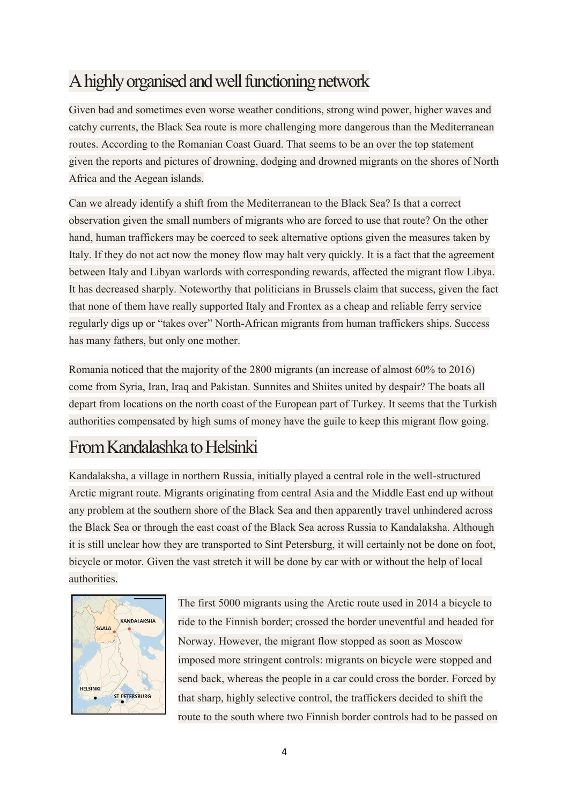# A highly organised and well functioning network

Given bad and sometimes even worse weather conditions, strong wind power, higher waves and catchy currents, the Black Sea route is more challenging more dangerous than the Mediterranean routes. According to the Romanian Coast Guard. That seems to be an over the top statement given the reports and pictures of drowning, dodging and drowned migrants on the shores of North Africa and the Aegean islands.

Can we already identify a shift from the Mediterranean to the Black Sea? Is that a correct observation given the small numbers of migrants who are forced to use that route? On the other hand, human traffickers may be coerced to seek alternative options given the measures taken by Italy. If they do not act now the money flow may halt very quickly. It is a fact that the agreement between Italy and Libyan warlords with corresponding rewards, affected the migrant flow Libya. It has decreased sharply. Noteworthy that politicians in Brussels claim that success, given the fact that none of them have really supported Italy and Frontex as a cheap and reliable ferry service regularly digs up or "takes over" North-African migrants from human traffickers ships. Success has many fathers, but only one mother.

Romania noticed that the majority of the 2800 migrants (an increase of almost 60% to 2016) come from Syria, Iran, Iraq and Pakistan. Sunnites and Shiites united by despair? The boats all depart from locations on the north coast of the European part of Turkey. It seems that the Turkish authorities compensated by high sums of money have the guile to keep this migrant flow going.

## From Kandalashka to Helsinki

Kandalaksha, a village in northern Russia, initially played a central role in the well-structured Arctic migrant route. Migrants originating from central Asia and the Middle East end up without any problem at the southern shore of the Black Sea and then apparently travel unhindered across the Black Sea or through the east coast of the Black Sea across Russia to Kandalaksha. Although it is still unclear how they are transported to Sint Petersburg, it will certainly not be done on foot, bicycle or motor. Given the vast stretch it will be done by car with or without the help of local authorities.



The first 5000 migrants using the Arctic route used in 2014 a bicycle to ride to the Finnish border; crossed the border uneventful and headed for Norway. However, the migrant flow stopped as soon as Moscow imposed more stringent controls: migrants on bicycle were stopped and send back, whereas the people in a car could cross the border. Forced by that sharp, highly selective control, the traffickers decided to shift the route to the south where two Finnish border controls had to be passed on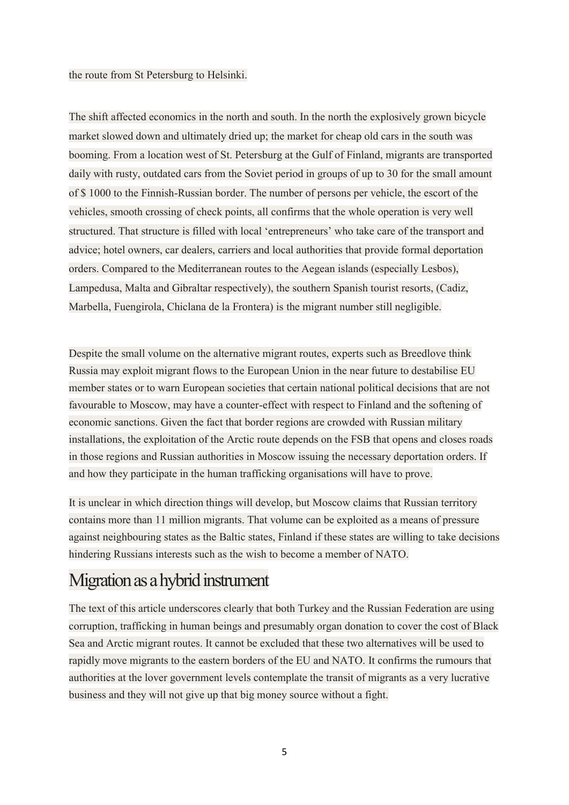the route from St Petersburg to Helsinki.

The shift affected economics in the north and south. In the north the explosively grown bicycle market slowed down and ultimately dried up; the market for cheap old cars in the south was booming. From a location west of St. Petersburg at the Gulf of Finland, migrants are transported daily with rusty, outdated cars from the Soviet period in groups of up to 30 for the small amount of \$ 1000 to the Finnish-Russian border. The number of persons per vehicle, the escort of the vehicles, smooth crossing of check points, all confirms that the whole operation is very well structured. That structure is filled with local 'entrepreneurs' who take care of the transport and advice; hotel owners, car dealers, carriers and local authorities that provide formal deportation orders. Compared to the Mediterranean routes to the Aegean islands (especially Lesbos), Lampedusa, Malta and Gibraltar respectively), the southern Spanish tourist resorts, (Cadiz, Marbella, Fuengirola, Chiclana de la Frontera) is the migrant number still negligible.

Despite the small volume on the alternative migrant routes, experts such as Breedlove think Russia may exploit migrant flows to the European Union in the near future to destabilise EU member states or to warn European societies that certain national political decisions that are not favourable to Moscow, may have a counter-effect with respect to Finland and the softening of economic sanctions. Given the fact that border regions are crowded with Russian military installations, the exploitation of the Arctic route depends on the FSB that opens and closes roads in those regions and Russian authorities in Moscow issuing the necessary deportation orders. If and how they participate in the human trafficking organisations will have to prove.

It is unclear in which direction things will develop, but Moscow claims that Russian territory contains more than 11 million migrants. That volume can be exploited as a means of pressure against neighbouring states as the Baltic states, Finland if these states are willing to take decisions hindering Russians interests such as the wish to become a member of NATO.

## Migration as a hybrid instrument

The text of this article underscores clearly that both Turkey and the Russian Federation are using corruption, trafficking in human beings and presumably organ donation to cover the cost of Black Sea and Arctic migrant routes. It cannot be excluded that these two alternatives will be used to rapidly move migrants to the eastern borders of the EU and NATO. It confirms the rumours that authorities at the lover government levels contemplate the transit of migrants as a very lucrative business and they will not give up that big money source without a fight.